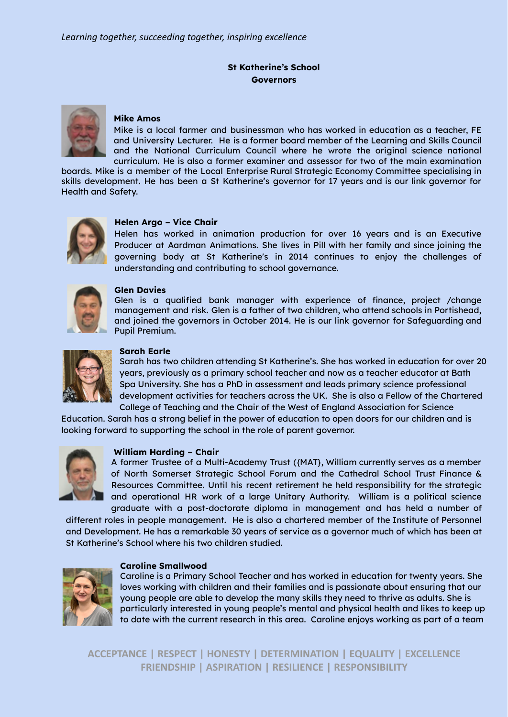# **St Katherine's School Governors**



## **Mike Amos**

Mike is a local farmer and businessman who has worked in education as a teacher, FE and University Lecturer. He is a former board member of the Learning and Skills Council and the National Curriculum Council where he wrote the original science national curriculum. He is also a former examiner and assessor for two of the main examination

boards. Mike is a member of the Local Enterprise Rural Strategic Economy Committee specialising in skills development. He has been a St Katherine's governor for 17 years and is our link governor for Health and Safety.



## **Helen Argo – Vice Chair**

Helen has worked in animation production for over 16 years and is an Executive Producer at Aardman Animations. She lives in Pill with her family and since joining the governing body at St Katherine's in 2014 continues to enjoy the challenges of understanding and contributing to school governance.



#### **Glen Davies**

Glen is a qualified bank manager with experience of finance, project /change management and risk. Glen is a father of two children, who attend schools in Portishead, and joined the governors in October 2014. He is our link governor for Safeguarding and Pupil Premium.



#### **Sarah Earle**

Sarah has two children attending St Katherine's. She has worked in education for over 20 years, previously as a primary school teacher and now as a teacher educator at Bath Spa University. She has a PhD in assessment and leads primary science professional development activities for teachers across the UK. She is also a Fellow of the Chartered College of Teaching and the Chair of the West of England Association for Science

Education. Sarah has a strong belief in the power of education to open doors for our children and is looking forward to supporting the school in the role of parent governor.



#### **William Harding – Chair**

A former Trustee of a Multi-Academy Trust ({MAT}, William currently serves as a member of North Somerset Strategic School Forum and the Cathedral School Trust Finance & Resources Committee. Until his recent retirement he held responsibility for the strategic and operational HR work of a large Unitary Authority. William is a political science graduate with a post-doctorate diploma in management and has held a number of

different roles in people management. He is also a chartered member of the Institute of Personnel and Development. He has a remarkable 30 years of service as a governor much of which has been at St Katherine's School where his two children studied.



#### **Caroline Smallwood**

Caroline is a Primary School Teacher and has worked in education for twenty years. She loves working with children and their families and is passionate about ensuring that our young people are able to develop the many skills they need to thrive as adults. She is particularly interested in young people's mental and physical health and likes to keep up to date with the current research in this area. Caroline enjoys working as part of a team

**ACCEPTANCE | RESPECT | HONESTY | DETERMINATION | EQUALITY | EXCELLENCE FRIENDSHIP | ASPIRATION | RESILIENCE | RESPONSIBILITY**